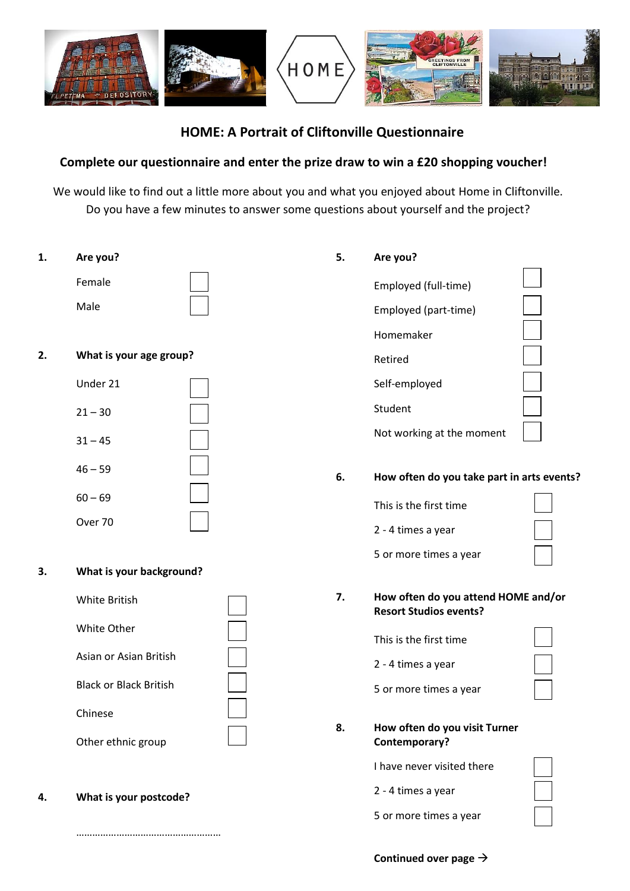

# **HOME: A Portrait of Cliftonville Questionnaire**

# **Complete our questionnaire and enter the prize draw to win a £20 shopping voucher!**

We would like to find out a little more about you and what you enjoyed about Home in Cliftonville. Do you have a few minutes to answer some questions about yourself and the project?

- **1. Are you?**  Female Male **2. What is your age group?** Under 21  $21 - 30$  $31 - 45$  $46 - 59$  $60 - 69$ Over 70 **3. What is your background?** White British White Other Asian or Asian British Black or Black British Chinese Other ethnic group **5. Are you?** Employed (full-time) Employed (part-time) Homemaker Retired Self-employed Student Not working at the moment **6. How often do you take part in arts events?** This is the first time 2 - 4 times a year 5 or more times a year **7. How often do you attend HOME and/or Resort Studios events?** This is the first time 2 - 4 times a year 5 or more times a year **8. How often do you visit Turner Contemporary?**
- **4. What is your postcode?**

………………………………………………

**Continued over page**

I have never visited there

5 or more times a year

2 - 4 times a year